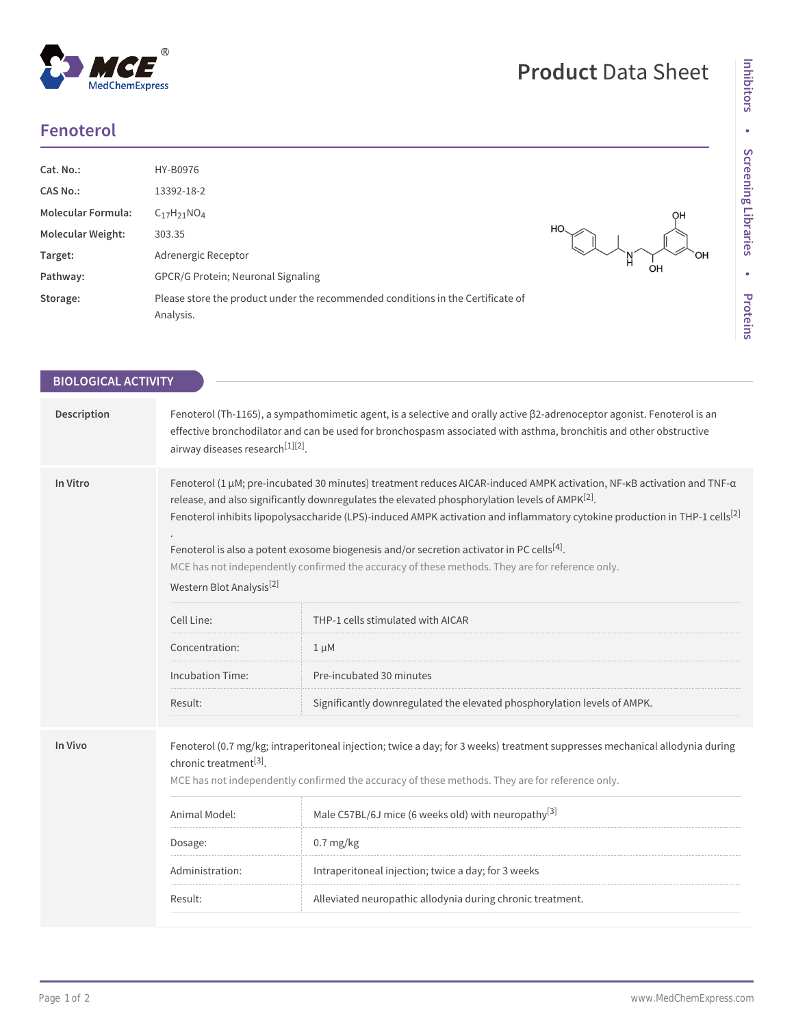| <b>Fenoterol</b> |  |
|------------------|--|
|                  |  |

 $^{\circledR}$ 

MedChemExpress

| Cat. No.:<br><b>CAS No.:</b><br><b>Molecular Formula:</b><br><b>Molecular Weight:</b><br>Target:<br>Pathway: | HY-B0976<br>13392-18-2<br>$C_{17}H_{21}NO_4$<br>303.35<br>Adrenergic Receptor<br>GPCR/G Protein; Neuronal Signaling | OH<br>HO |
|--------------------------------------------------------------------------------------------------------------|---------------------------------------------------------------------------------------------------------------------|----------|
| Storage:                                                                                                     | Please store the product under the recommended conditions in the Certificate of<br>Analysis.                        |          |

| <b>BIOLOGICAL ACTIVITY</b> |                                                                                                                                                                                                                                                                                                                                                                                                                                                                                                                                                                                                                                                                                                                                                                                                                                                                    |                                                                                                                                                                                                                                                                                                                                                                                                                                               |  |  |
|----------------------------|--------------------------------------------------------------------------------------------------------------------------------------------------------------------------------------------------------------------------------------------------------------------------------------------------------------------------------------------------------------------------------------------------------------------------------------------------------------------------------------------------------------------------------------------------------------------------------------------------------------------------------------------------------------------------------------------------------------------------------------------------------------------------------------------------------------------------------------------------------------------|-----------------------------------------------------------------------------------------------------------------------------------------------------------------------------------------------------------------------------------------------------------------------------------------------------------------------------------------------------------------------------------------------------------------------------------------------|--|--|
| Description                | Fenoterol (Th-1165), a sympathomimetic agent, is a selective and orally active β2-adrenoceptor agonist. Fenoterol is an<br>effective bronchodilator and can be used for bronchospasm associated with asthma, bronchitis and other obstructive<br>airway diseases research <sup>[1][2]</sup> .                                                                                                                                                                                                                                                                                                                                                                                                                                                                                                                                                                      |                                                                                                                                                                                                                                                                                                                                                                                                                                               |  |  |
| In Vitro                   | Fenoterol (1 µM; pre-incubated 30 minutes) treatment reduces AICAR-induced AMPK activation, NF-KB activation and TNF-a<br>release, and also significantly downregulates the elevated phosphorylation levels of AMPK <sup>[2]</sup> .<br>Fenoterol inhibits lipopolysaccharide (LPS)-induced AMPK activation and inflammatory cytokine production in THP-1 cells <sup>[2]</sup><br>Fenoterol is also a potent exosome biogenesis and/or secretion activator in PC cells <sup>[4]</sup> .<br>MCE has not independently confirmed the accuracy of these methods. They are for reference only.<br>Western Blot Analysis <sup>[2]</sup><br>Cell Line:<br>THP-1 cells stimulated with AICAR<br>Concentration:<br>$1 \mu M$<br><b>Incubation Time:</b><br>Pre-incubated 30 minutes<br>Result:<br>Significantly downregulated the elevated phosphorylation levels of AMPK. |                                                                                                                                                                                                                                                                                                                                                                                                                                               |  |  |
| In Vivo                    | chronic treatment <sup>[3]</sup> .<br>Animal Model:<br>Dosage:<br>Administration:<br>Result:                                                                                                                                                                                                                                                                                                                                                                                                                                                                                                                                                                                                                                                                                                                                                                       | Fenoterol (0.7 mg/kg; intraperitoneal injection; twice a day; for 3 weeks) treatment suppresses mechanical allodynia during<br>MCE has not independently confirmed the accuracy of these methods. They are for reference only.<br>Male C57BL/6J mice (6 weeks old) with neuropathy <sup>[3]</sup><br>$0.7 \text{ mg/kg}$<br>Intraperitoneal injection; twice a day; for 3 weeks<br>Alleviated neuropathic allodynia during chronic treatment. |  |  |